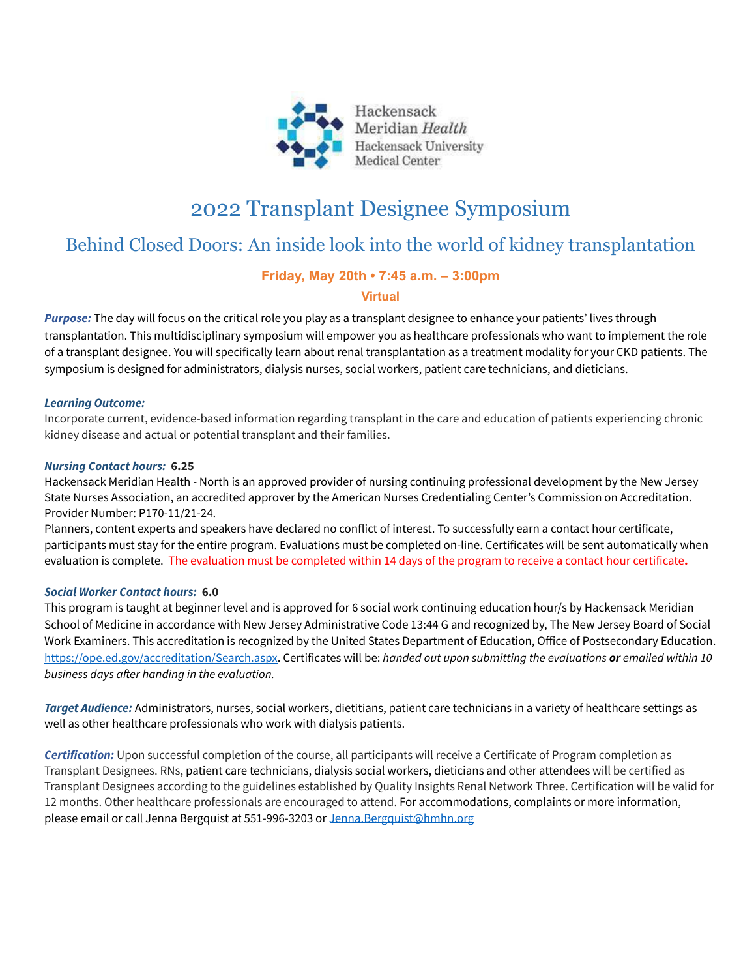

# 2022 Transplant Designee Symposium

## Behind Closed Doors: An inside look into the world of kidney transplantation

## **Friday, May 20th • 7:45 a.m. – 3:00pm**

## **Virtual**

*Purpose:* The day will focus on the critical role you play as a transplant designee to enhance your patients' lives through transplantation. This multidisciplinary symposium will empower you as healthcare professionals who want to implement the role of a transplant designee. You will specifically learn about renal transplantation as a treatment modality for your CKD patients. The symposium is designed for administrators, dialysis nurses, social workers, patient care technicians, and dieticians.

### *Learning Outcome:*

Incorporate current, evidence-based information regarding transplant in the care and education of patients experiencing chronic kidney disease and actual or potential transplant and their families.

### *Nursing Contact hours:* **6.25**

Hackensack Meridian Health - North is an approved provider of nursing continuing professional development by the New Jersey State Nurses Association, an accredited approver by the American Nurses Credentialing Center's Commission on Accreditation. Provider Number: P170-11/21-24.

Planners, content experts and speakers have declared no conflict of interest. To successfully earn a contact hour certificate, participants must stay for the entire program. Evaluations must be completed on-line. Certificates will be sent automatically when evaluation is complete. The evaluation must be completed within 14 days of the program to receive a contact hour certificate**.**

## *Social Worker Contact hours:* **6.0**

This program is taught at beginner level and is approved for 6 social work continuing education hour/s by Hackensack Meridian School of Medicine in accordance with New Jersey Administrative Code 13:44 G and recognized by, The New Jersey Board of Social Work Examiners. This accreditation is recognized by the United States Department of Education, Office of Postsecondary Education. [https://ope.ed.gov/accreditation/Search.aspx.](https://ope.ed.gov/accreditation/Search.aspx) Certificates will be: *handed out upon submitting the evaluations or emailed within 10 business days after handing in the evaluation.*

*Target Audience:* Administrators, nurses, social workers, dietitians, patient care technicians in a variety of healthcare settings as well as other healthcare professionals who work with dialysis patients.

*Certification:* Upon successful completion of the course, all participants will receive a Certificate of Program completion as Transplant Designees. RNs, patient care technicians, dialysis social workers, dieticians and other attendees will be certified as Transplant Designees according to the guidelines established by Quality Insights Renal Network Three. Certification will be valid for 12 months. Other healthcare professionals are encouraged to attend. For accommodations, complaints or more information, please email or call Jenna Bergquist at 551-996-3203 or [Jenna.Bergquist@hmhn.org](mailto:Jenna.Bergquist@hmhn.org)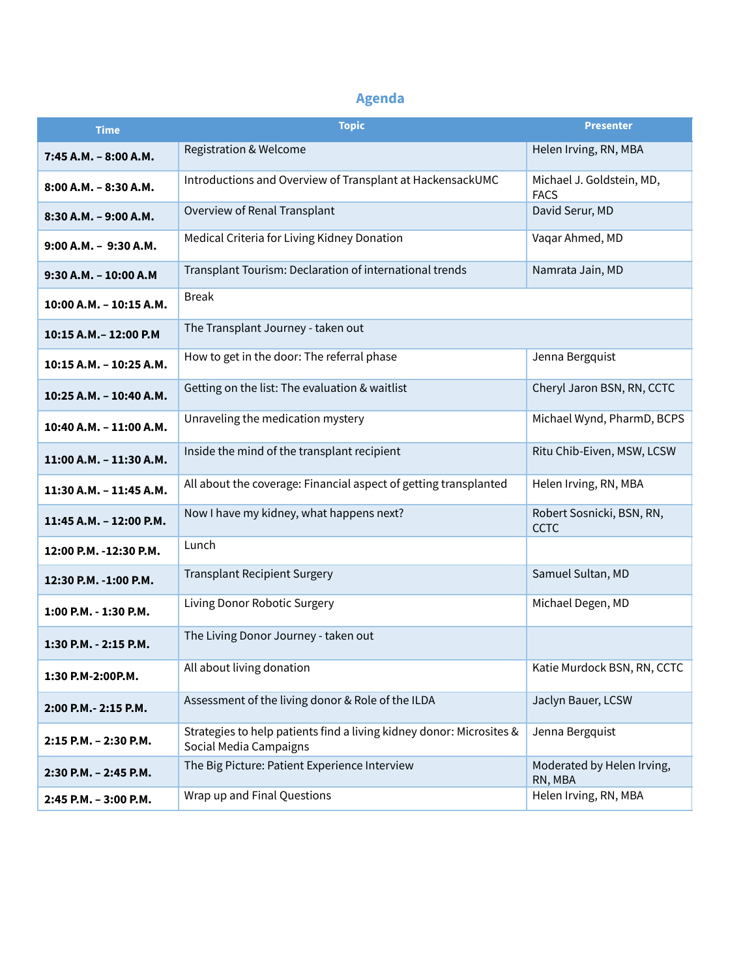## **Agenda**

| <b>Time</b>              | <b>Topic</b>                                                                                   | <b>Presenter</b>                         |
|--------------------------|------------------------------------------------------------------------------------------------|------------------------------------------|
| 7:45 A.M. - 8:00 A.M.    | <b>Registration &amp; Welcome</b>                                                              | Helen Irving, RN, MBA                    |
| $8:00$ A.M. $-8:30$ A.M. | Introductions and Overview of Transplant at HackensackUMC                                      | Michael J. Goldstein, MD,<br><b>FACS</b> |
| 8:30 A.M. - 9:00 A.M.    | Overview of Renal Transplant                                                                   | David Serur, MD                          |
| 9:00 A.M. - 9:30 A.M.    | Medical Criteria for Living Kidney Donation                                                    | Vaqar Ahmed, MD                          |
| 9:30 A.M. - 10:00 A.M    | Transplant Tourism: Declaration of international trends                                        | Namrata Jain, MD                         |
| 10:00 A.M. - 10:15 A.M.  | <b>Break</b>                                                                                   |                                          |
| 10:15 A.M. - 12:00 P.M   | The Transplant Journey - taken out                                                             |                                          |
| 10:15 A.M. - 10:25 A.M.  | How to get in the door: The referral phase                                                     | Jenna Bergquist                          |
| 10:25 A.M. - 10:40 A.M.  | Getting on the list: The evaluation & waitlist                                                 | Cheryl Jaron BSN, RN, CCTC               |
| 10:40 A.M. - 11:00 A.M.  | Unraveling the medication mystery                                                              | Michael Wynd, PharmD, BCPS               |
| 11:00 A.M. - 11:30 A.M.  | Inside the mind of the transplant recipient                                                    | Ritu Chib-Eiven, MSW, LCSW               |
| 11:30 A.M. - 11:45 A.M.  | All about the coverage: Financial aspect of getting transplanted                               | Helen Irving, RN, MBA                    |
| 11:45 A.M. - 12:00 P.M.  | Now I have my kidney, what happens next?                                                       | Robert Sosnicki, BSN, RN,<br><b>CCTC</b> |
| 12:00 P.M. -12:30 P.M.   | Lunch                                                                                          |                                          |
| 12:30 P.M. -1:00 P.M.    | <b>Transplant Recipient Surgery</b>                                                            | Samuel Sultan, MD                        |
| 1:00 P.M. - 1:30 P.M.    | Living Donor Robotic Surgery                                                                   | Michael Degen, MD                        |
| 1:30 P.M. - 2:15 P.M.    | The Living Donor Journey - taken out                                                           |                                          |
| 1:30 P.M-2:00P.M.        | All about living donation                                                                      | Katie Murdock BSN, RN, CCTC              |
| 2:00 P.M. - 2:15 P.M.    | Assessment of the living donor & Role of the ILDA                                              | Jaclyn Bauer, LCSW                       |
| 2:15 P.M. - 2:30 P.M.    | Strategies to help patients find a living kidney donor: Microsites &<br>Social Media Campaigns | Jenna Bergquist                          |
| 2:30 P.M. - 2:45 P.M.    | The Big Picture: Patient Experience Interview                                                  | Moderated by Helen Irving,<br>RN, MBA    |
| 2:45 P.M. - 3:00 P.M.    | Wrap up and Final Questions                                                                    | Helen Irving, RN, MBA                    |